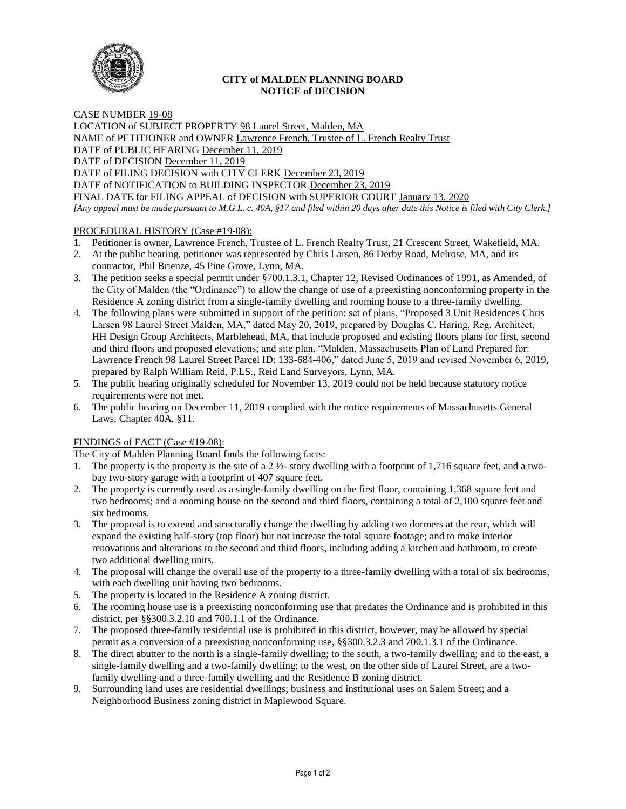

# **CITY of MALDEN PLANNING BOARD NOTICE of DECISION**

CASE NUMBER 19-08 LOCATION of SUBJECT PROPERTY 98 Laurel Street, Malden, MA NAME of PETITIONER and OWNER Lawrence French, Trustee of L. French Realty Trust DATE of PUBLIC HEARING December 11, 2019 DATE of DECISION December 11, 2019 DATE of FILING DECISION with CITY CLERK December 23, 2019 DATE of NOTIFICATION to BUILDING INSPECTOR December 23, 2019 FINAL DATE for FILING APPEAL of DECISION with SUPERIOR COURT January 13, 2020 *[Any appeal must be made pursuant to M.G.L. c. 40A, §17 and filed within 20 days after date this Notice is filed with City Clerk.]* 

# PROCEDURAL HISTORY (Case #19-08):

- 1. Petitioner is owner, Lawrence French, Trustee of L. French Realty Trust, 21 Crescent Street, Wakefield, MA.
- 2. At the public hearing, petitioner was represented by Chris Larsen, 86 Derby Road, Melrose, MA, and its contractor, Phil Brienze, 45 Pine Grove, Lynn, MA.
- 3. The petition seeks a special permit under §700.1.3.1, Chapter 12, Revised Ordinances of 1991, as Amended, of the City of Malden (the "Ordinance") to allow the change of use of a preexisting nonconforming property in the Residence A zoning district from a single-family dwelling and rooming house to a three-family dwelling.
- 4. The following plans were submitted in support of the petition: set of plans, "Proposed 3 Unit Residences Chris Larsen 98 Laurel Street Malden, MA," dated May 20, 2019, prepared by Douglas C. Haring, Reg. Architect, HH Design Group Architects, Marblehead, MA, that include proposed and existing floors plans for first, second and third floors and proposed elevations; and site plan, "Malden, Massachusetts Plan of Land Prepared for: Lawrence French 98 Laurel Street Parcel ID: 133-684-406," dated June 5, 2019 and revised November 6, 2019, prepared by Ralph William Reid, P.LS., Reid Land Surveyors, Lynn, MA.
- 5. The public hearing originally scheduled for November 13, 2019 could not be held because statutory notice requirements were not met.
- 6. The public hearing on December 11, 2019 complied with the notice requirements of Massachusetts General Laws, Chapter 40A, §11.

# FINDINGS of FACT (Case #19-08):

The City of Malden Planning Board finds the following facts:

- 1. The property is the property is the site of a  $2\frac{1}{2}$  story dwelling with a footprint of 1,716 square feet, and a twobay two-story garage with a footprint of 407 square feet.
- 2. The property is currently used as a single-family dwelling on the first floor, containing 1,368 square feet and two bedrooms; and a rooming house on the second and third floors, containing a total of 2,100 square feet and six bedrooms.
- 3. The proposal is to extend and structurally change the dwelling by adding two dormers at the rear, which will expand the existing half-story (top floor) but not increase the total square footage; and to make interior renovations and alterations to the second and third floors, including adding a kitchen and bathroom, to create two additional dwelling units.
- 4. The proposal will change the overall use of the property to a three-family dwelling with a total of six bedrooms, with each dwelling unit having two bedrooms.
- 5. The property is located in the Residence A zoning district.
- 6. The rooming house use is a preexisting nonconforming use that predates the Ordinance and is prohibited in this district, per §§300.3.2.10 and 700.1.1 of the Ordinance.
- 7. The proposed three-family residential use is prohibited in this district, however, may be allowed by special permit as a conversion of a preexisting nonconforming use, §§300.3.2.3 and 700.1.3.1 of the Ordinance.
- 8. The direct abutter to the north is a single-family dwelling; to the south, a two-family dwelling; and to the east, a single-family dwelling and a two-family dwelling; to the west, on the other side of Laurel Street, are a twofamily dwelling and a three-family dwelling and the Residence B zoning district.
- 9. Surrounding land uses are residential dwellings; business and institutional uses on Salem Street; and a Neighborhood Business zoning district in Maplewood Square.